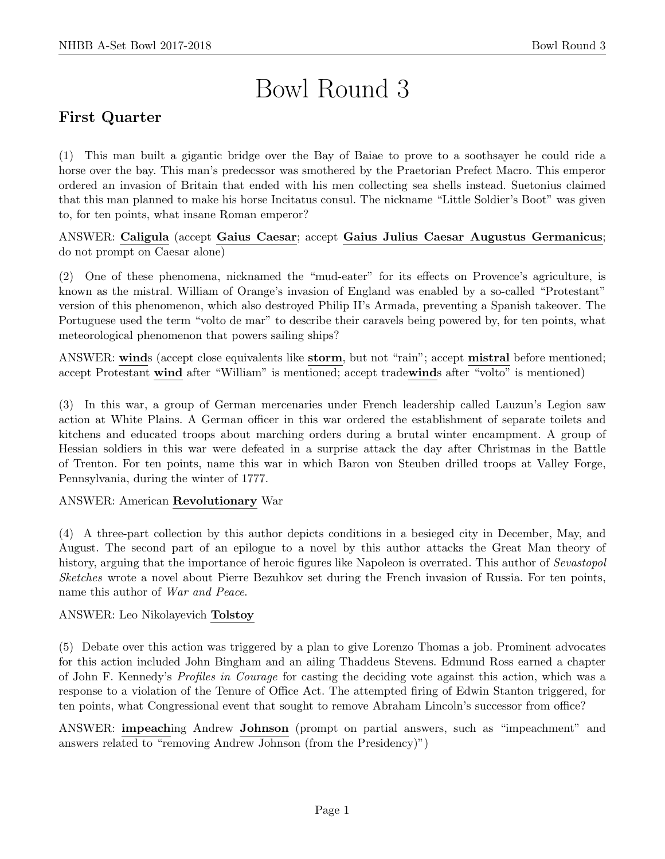# Bowl Round 3

# First Quarter

(1) This man built a gigantic bridge over the Bay of Baiae to prove to a soothsayer he could ride a horse over the bay. This man's predecssor was smothered by the Praetorian Prefect Macro. This emperor ordered an invasion of Britain that ended with his men collecting sea shells instead. Suetonius claimed that this man planned to make his horse Incitatus consul. The nickname "Little Soldier's Boot" was given to, for ten points, what insane Roman emperor?

ANSWER: Caligula (accept Gaius Caesar; accept Gaius Julius Caesar Augustus Germanicus; do not prompt on Caesar alone)

(2) One of these phenomena, nicknamed the "mud-eater" for its effects on Provence's agriculture, is known as the mistral. William of Orange's invasion of England was enabled by a so-called "Protestant" version of this phenomenon, which also destroyed Philip II's Armada, preventing a Spanish takeover. The Portuguese used the term "volto de mar" to describe their caravels being powered by, for ten points, what meteorological phenomenon that powers sailing ships?

ANSWER: winds (accept close equivalents like storm, but not "rain"; accept mistral before mentioned; accept Protestant wind after "William" is mentioned; accept tradewinds after "volto" is mentioned)

(3) In this war, a group of German mercenaries under French leadership called Lauzun's Legion saw action at White Plains. A German officer in this war ordered the establishment of separate toilets and kitchens and educated troops about marching orders during a brutal winter encampment. A group of Hessian soldiers in this war were defeated in a surprise attack the day after Christmas in the Battle of Trenton. For ten points, name this war in which Baron von Steuben drilled troops at Valley Forge, Pennsylvania, during the winter of 1777.

### ANSWER: American Revolutionary War

(4) A three-part collection by this author depicts conditions in a besieged city in December, May, and August. The second part of an epilogue to a novel by this author attacks the Great Man theory of history, arguing that the importance of heroic figures like Napoleon is overrated. This author of *Sevastopol* Sketches wrote a novel about Pierre Bezuhkov set during the French invasion of Russia. For ten points, name this author of War and Peace.

### ANSWER: Leo Nikolayevich Tolstoy

(5) Debate over this action was triggered by a plan to give Lorenzo Thomas a job. Prominent advocates for this action included John Bingham and an ailing Thaddeus Stevens. Edmund Ross earned a chapter of John F. Kennedy's Profiles in Courage for casting the deciding vote against this action, which was a response to a violation of the Tenure of Office Act. The attempted firing of Edwin Stanton triggered, for ten points, what Congressional event that sought to remove Abraham Lincoln's successor from office?

ANSWER: impeaching Andrew Johnson (prompt on partial answers, such as "impeachment" and answers related to "removing Andrew Johnson (from the Presidency)")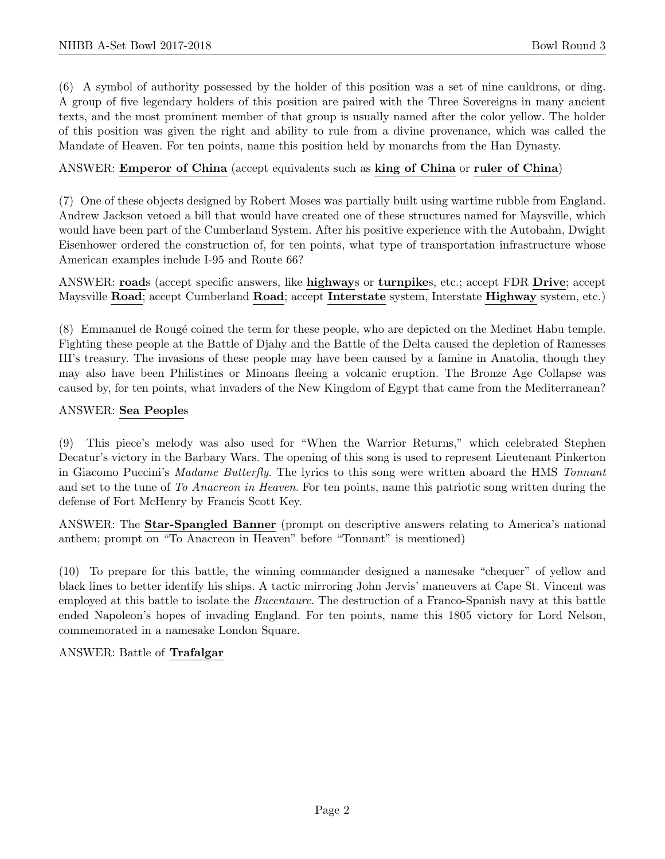(6) A symbol of authority possessed by the holder of this position was a set of nine cauldrons, or ding. A group of five legendary holders of this position are paired with the Three Sovereigns in many ancient texts, and the most prominent member of that group is usually named after the color yellow. The holder of this position was given the right and ability to rule from a divine provenance, which was called the Mandate of Heaven. For ten points, name this position held by monarchs from the Han Dynasty.

### ANSWER: Emperor of China (accept equivalents such as king of China or ruler of China)

(7) One of these objects designed by Robert Moses was partially built using wartime rubble from England. Andrew Jackson vetoed a bill that would have created one of these structures named for Maysville, which would have been part of the Cumberland System. After his positive experience with the Autobahn, Dwight Eisenhower ordered the construction of, for ten points, what type of transportation infrastructure whose American examples include I-95 and Route 66?

ANSWER: roads (accept specific answers, like highways or turnpikes, etc.; accept FDR Drive; accept Maysville Road; accept Cumberland Road; accept Interstate system, Interstate Highway system, etc.)

(8) Emmanuel de Roug´e coined the term for these people, who are depicted on the Medinet Habu temple. Fighting these people at the Battle of Djahy and the Battle of the Delta caused the depletion of Ramesses III's treasury. The invasions of these people may have been caused by a famine in Anatolia, though they may also have been Philistines or Minoans fleeing a volcanic eruption. The Bronze Age Collapse was caused by, for ten points, what invaders of the New Kingdom of Egypt that came from the Mediterranean?

### ANSWER: Sea Peoples

(9) This piece's melody was also used for "When the Warrior Returns," which celebrated Stephen Decatur's victory in the Barbary Wars. The opening of this song is used to represent Lieutenant Pinkerton in Giacomo Puccini's Madame Butterfly. The lyrics to this song were written aboard the HMS Tonnant and set to the tune of To Anacreon in Heaven. For ten points, name this patriotic song written during the defense of Fort McHenry by Francis Scott Key.

ANSWER: The Star-Spangled Banner (prompt on descriptive answers relating to America's national anthem; prompt on "To Anacreon in Heaven" before "Tonnant" is mentioned)

(10) To prepare for this battle, the winning commander designed a namesake "chequer" of yellow and black lines to better identify his ships. A tactic mirroring John Jervis' maneuvers at Cape St. Vincent was employed at this battle to isolate the Bucentaure. The destruction of a Franco-Spanish navy at this battle ended Napoleon's hopes of invading England. For ten points, name this 1805 victory for Lord Nelson, commemorated in a namesake London Square.

### ANSWER: Battle of Trafalgar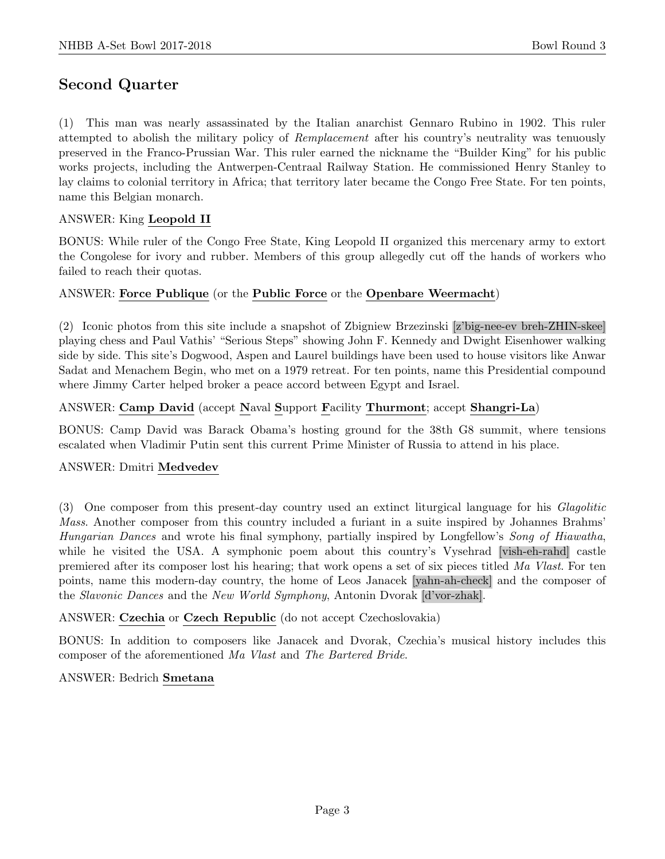## Second Quarter

(1) This man was nearly assassinated by the Italian anarchist Gennaro Rubino in 1902. This ruler attempted to abolish the military policy of Remplacement after his country's neutrality was tenuously preserved in the Franco-Prussian War. This ruler earned the nickname the "Builder King" for his public works projects, including the Antwerpen-Centraal Railway Station. He commissioned Henry Stanley to lay claims to colonial territory in Africa; that territory later became the Congo Free State. For ten points, name this Belgian monarch.

### ANSWER: King Leopold II

BONUS: While ruler of the Congo Free State, King Leopold II organized this mercenary army to extort the Congolese for ivory and rubber. Members of this group allegedly cut off the hands of workers who failed to reach their quotas.

### ANSWER: Force Publique (or the Public Force or the Openbare Weermacht)

(2) Iconic photos from this site include a snapshot of Zbigniew Brzezinski [z'big-nee-ev breh-ZHIN-skee] playing chess and Paul Vathis' "Serious Steps" showing John F. Kennedy and Dwight Eisenhower walking side by side. This site's Dogwood, Aspen and Laurel buildings have been used to house visitors like Anwar Sadat and Menachem Begin, who met on a 1979 retreat. For ten points, name this Presidential compound where Jimmy Carter helped broker a peace accord between Egypt and Israel.

### ANSWER: Camp David (accept Naval Support Facility Thurmont; accept Shangri-La)

BONUS: Camp David was Barack Obama's hosting ground for the 38th G8 summit, where tensions escalated when Vladimir Putin sent this current Prime Minister of Russia to attend in his place.

### ANSWER: Dmitri Medvedev

(3) One composer from this present-day country used an extinct liturgical language for his Glagolitic Mass. Another composer from this country included a furiant in a suite inspired by Johannes Brahms' Hungarian Dances and wrote his final symphony, partially inspired by Longfellow's Song of Hiawatha, while he visited the USA. A symphonic poem about this country's Vysehrad [vish-eh-rahd] castle premiered after its composer lost his hearing; that work opens a set of six pieces titled Ma Vlast. For ten points, name this modern-day country, the home of Leos Janacek [yahn-ah-check] and the composer of the Slavonic Dances and the New World Symphony, Antonin Dvorak [d'vor-zhak].

### ANSWER: Czechia or Czech Republic (do not accept Czechoslovakia)

BONUS: In addition to composers like Janacek and Dvorak, Czechia's musical history includes this composer of the aforementioned Ma Vlast and The Bartered Bride.

### ANSWER: Bedrich Smetana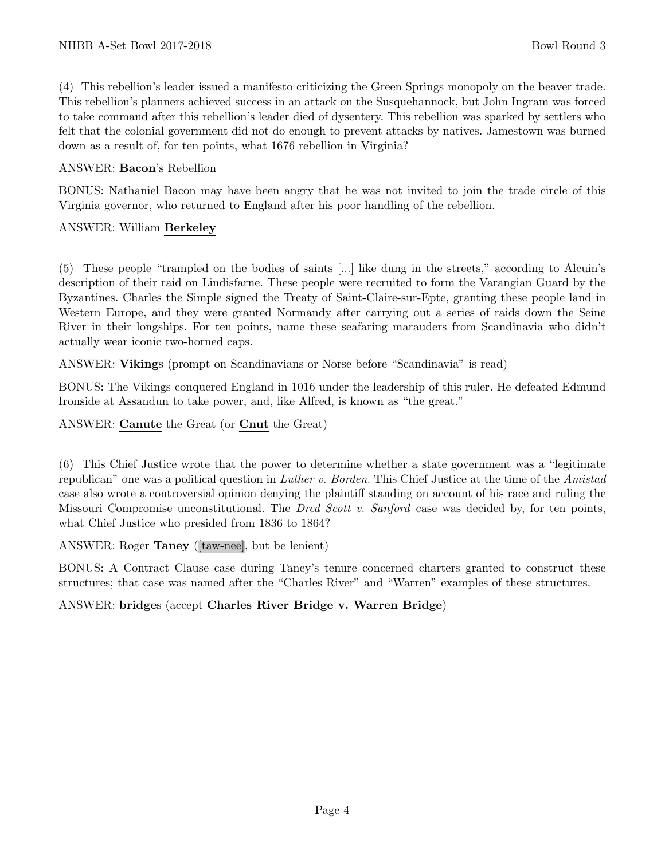(4) This rebellion's leader issued a manifesto criticizing the Green Springs monopoly on the beaver trade. This rebellion's planners achieved success in an attack on the Susquehannock, but John Ingram was forced to take command after this rebellion's leader died of dysentery. This rebellion was sparked by settlers who felt that the colonial government did not do enough to prevent attacks by natives. Jamestown was burned down as a result of, for ten points, what 1676 rebellion in Virginia?

### ANSWER: Bacon's Rebellion

BONUS: Nathaniel Bacon may have been angry that he was not invited to join the trade circle of this Virginia governor, who returned to England after his poor handling of the rebellion.

### ANSWER: William Berkeley

(5) These people "trampled on the bodies of saints [...] like dung in the streets," according to Alcuin's description of their raid on Lindisfarne. These people were recruited to form the Varangian Guard by the Byzantines. Charles the Simple signed the Treaty of Saint-Claire-sur-Epte, granting these people land in Western Europe, and they were granted Normandy after carrying out a series of raids down the Seine River in their longships. For ten points, name these seafaring marauders from Scandinavia who didn't actually wear iconic two-horned caps.

ANSWER: Vikings (prompt on Scandinavians or Norse before "Scandinavia" is read)

BONUS: The Vikings conquered England in 1016 under the leadership of this ruler. He defeated Edmund Ironside at Assandun to take power, and, like Alfred, is known as "the great."

ANSWER: Canute the Great (or Cnut the Great)

(6) This Chief Justice wrote that the power to determine whether a state government was a "legitimate republican" one was a political question in Luther v. Borden. This Chief Justice at the time of the Amistad case also wrote a controversial opinion denying the plaintiff standing on account of his race and ruling the Missouri Compromise unconstitutional. The Dred Scott v. Sanford case was decided by, for ten points, what Chief Justice who presided from 1836 to 1864?

ANSWER: Roger Taney ([taw-nee], but be lenient)

BONUS: A Contract Clause case during Taney's tenure concerned charters granted to construct these structures; that case was named after the "Charles River" and "Warren" examples of these structures.

### ANSWER: bridges (accept Charles River Bridge v. Warren Bridge)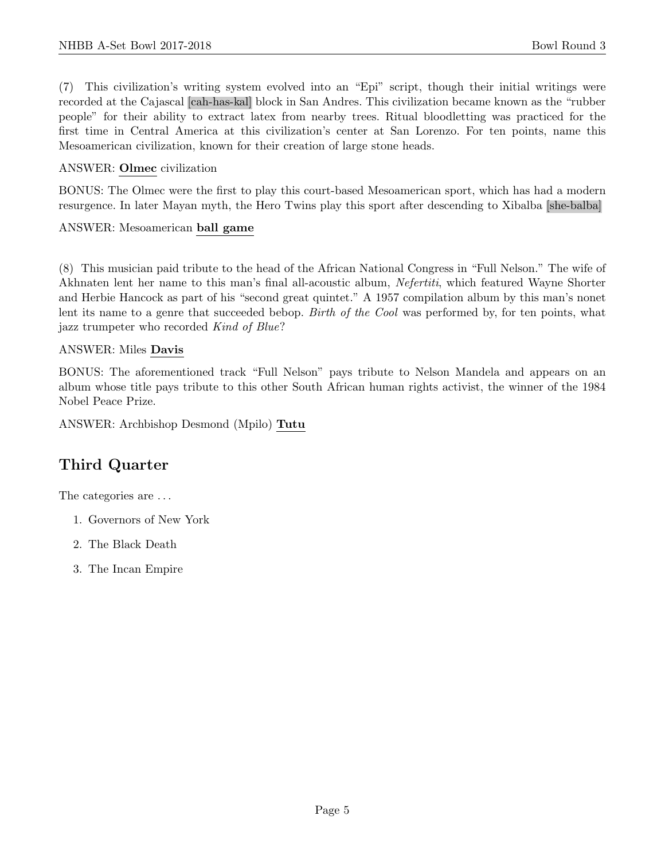(7) This civilization's writing system evolved into an "Epi" script, though their initial writings were recorded at the Cajascal [cah-has-kal] block in San Andres. This civilization became known as the "rubber people" for their ability to extract latex from nearby trees. Ritual bloodletting was practiced for the first time in Central America at this civilization's center at San Lorenzo. For ten points, name this Mesoamerican civilization, known for their creation of large stone heads.

### ANSWER: Olmec civilization

BONUS: The Olmec were the first to play this court-based Mesoamerican sport, which has had a modern resurgence. In later Mayan myth, the Hero Twins play this sport after descending to Xibalba [she-balba]

### ANSWER: Mesoamerican ball game

(8) This musician paid tribute to the head of the African National Congress in "Full Nelson." The wife of Akhnaten lent her name to this man's final all-acoustic album, Nefertiti, which featured Wayne Shorter and Herbie Hancock as part of his "second great quintet." A 1957 compilation album by this man's nonet lent its name to a genre that succeeded bebop. Birth of the Cool was performed by, for ten points, what jazz trumpeter who recorded Kind of Blue?

### ANSWER: Miles Davis

BONUS: The aforementioned track "Full Nelson" pays tribute to Nelson Mandela and appears on an album whose title pays tribute to this other South African human rights activist, the winner of the 1984 Nobel Peace Prize.

ANSWER: Archbishop Desmond (Mpilo) Tutu

### Third Quarter

The categories are . . .

- 1. Governors of New York
- 2. The Black Death
- 3. The Incan Empire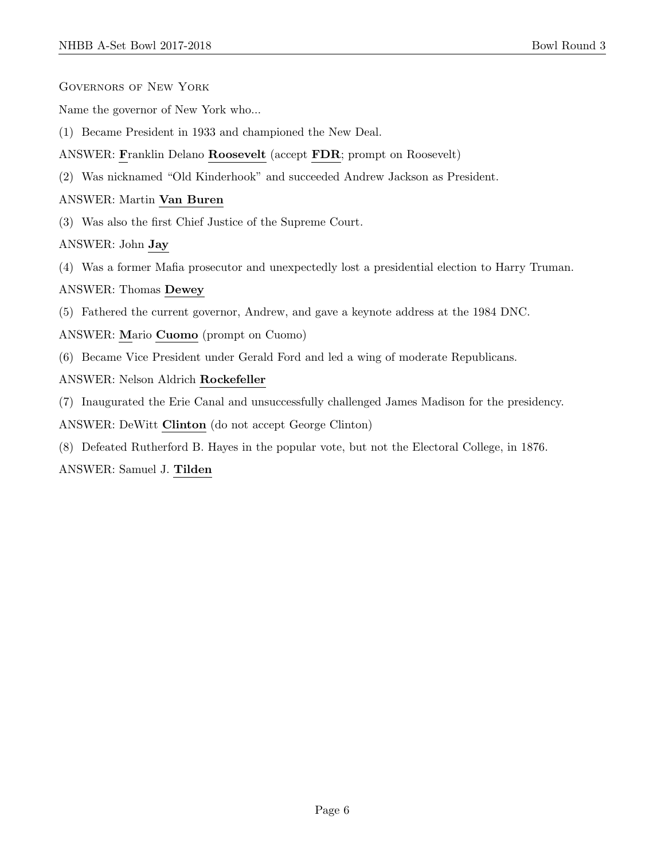- Governors of New York
- Name the governor of New York who...
- (1) Became President in 1933 and championed the New Deal.
- ANSWER: Franklin Delano Roosevelt (accept FDR; prompt on Roosevelt)
- (2) Was nicknamed "Old Kinderhook" and succeeded Andrew Jackson as President.

### ANSWER: Martin Van Buren

(3) Was also the first Chief Justice of the Supreme Court.

ANSWER: John Jay

(4) Was a former Mafia prosecutor and unexpectedly lost a presidential election to Harry Truman.

### ANSWER: Thomas Dewey

- (5) Fathered the current governor, Andrew, and gave a keynote address at the 1984 DNC.
- ANSWER: Mario Cuomo (prompt on Cuomo)
- (6) Became Vice President under Gerald Ford and led a wing of moderate Republicans.
- ANSWER: Nelson Aldrich Rockefeller
- (7) Inaugurated the Erie Canal and unsuccessfully challenged James Madison for the presidency.
- ANSWER: DeWitt Clinton (do not accept George Clinton)
- (8) Defeated Rutherford B. Hayes in the popular vote, but not the Electoral College, in 1876.

ANSWER: Samuel J. Tilden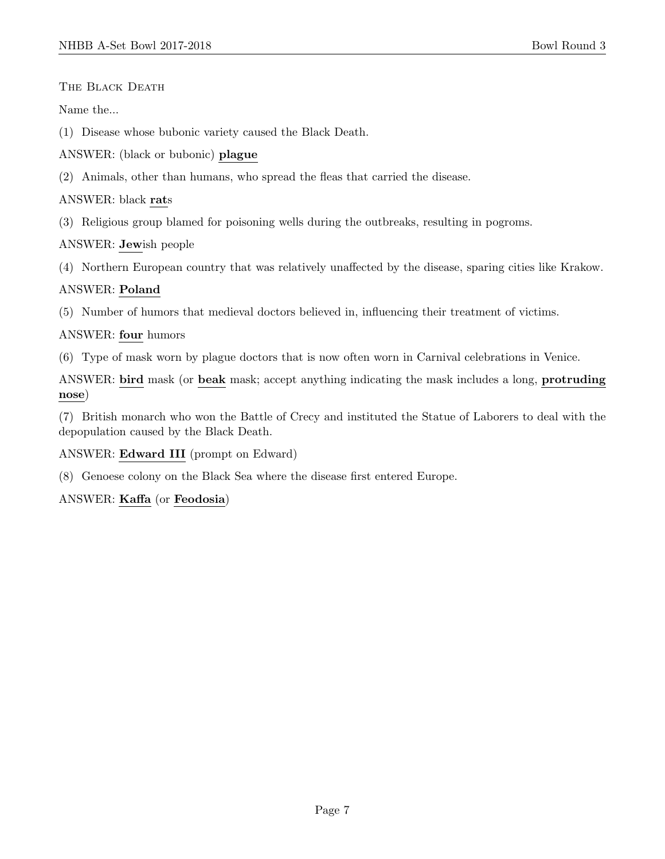THE BLACK DEATH

Name the...

(1) Disease whose bubonic variety caused the Black Death.

ANSWER: (black or bubonic) plague

(2) Animals, other than humans, who spread the fleas that carried the disease.

ANSWER: black rats

(3) Religious group blamed for poisoning wells during the outbreaks, resulting in pogroms.

ANSWER: Jewish people

(4) Northern European country that was relatively unaffected by the disease, sparing cities like Krakow.

### ANSWER: Poland

(5) Number of humors that medieval doctors believed in, influencing their treatment of victims.

### ANSWER: four humors

(6) Type of mask worn by plague doctors that is now often worn in Carnival celebrations in Venice.

ANSWER: bird mask (or beak mask; accept anything indicating the mask includes a long, protruding nose)

(7) British monarch who won the Battle of Crecy and instituted the Statue of Laborers to deal with the depopulation caused by the Black Death.

ANSWER: Edward III (prompt on Edward)

(8) Genoese colony on the Black Sea where the disease first entered Europe.

### ANSWER: Kaffa (or Feodosia)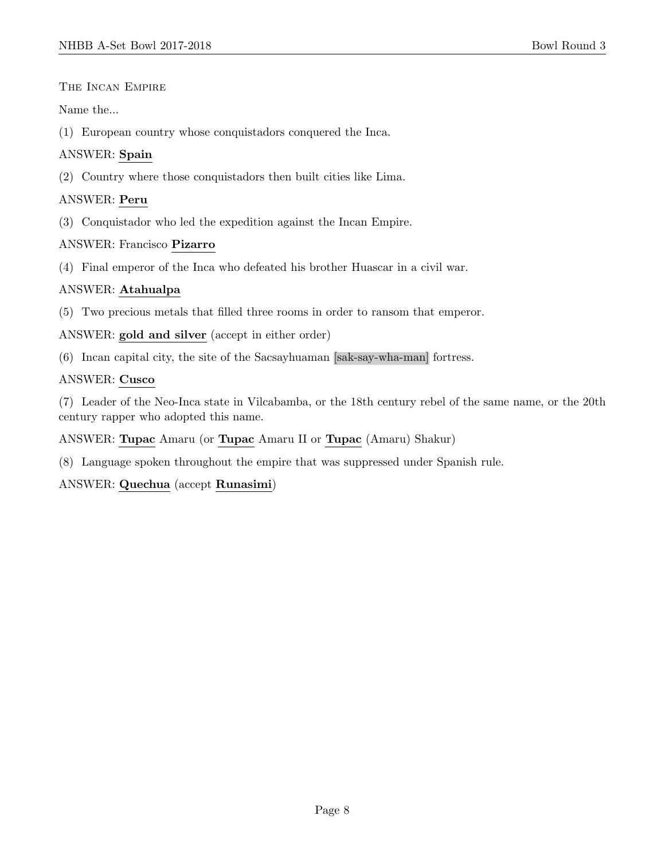The Incan Empire

Name the...

(1) European country whose conquistadors conquered the Inca.

### ANSWER: Spain

(2) Country where those conquistadors then built cities like Lima.

### ANSWER: Peru

(3) Conquistador who led the expedition against the Incan Empire.

### ANSWER: Francisco Pizarro

(4) Final emperor of the Inca who defeated his brother Huascar in a civil war.

### ANSWER: Atahualpa

(5) Two precious metals that filled three rooms in order to ransom that emperor.

ANSWER: gold and silver (accept in either order)

(6) Incan capital city, the site of the Sacsayhuaman [sak-say-wha-man] fortress.

### ANSWER: Cusco

(7) Leader of the Neo-Inca state in Vilcabamba, or the 18th century rebel of the same name, or the 20th century rapper who adopted this name.

ANSWER: Tupac Amaru (or Tupac Amaru II or Tupac (Amaru) Shakur)

(8) Language spoken throughout the empire that was suppressed under Spanish rule.

ANSWER: Quechua (accept Runasimi)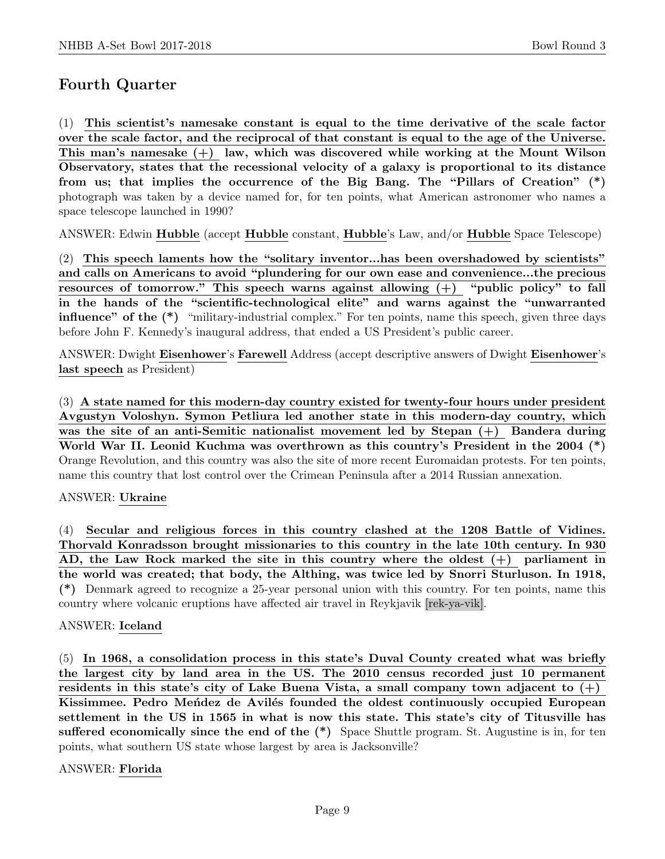# Fourth Quarter

(1) This scientist's namesake constant is equal to the time derivative of the scale factor over the scale factor, and the reciprocal of that constant is equal to the age of the Universe. This man's namesake  $(+)$  law, which was discovered while working at the Mount Wilson Observatory, states that the recessional velocity of a galaxy is proportional to its distance from us; that implies the occurrence of the Big Bang. The "Pillars of Creation" (\*) photograph was taken by a device named for, for ten points, what American astronomer who names a space telescope launched in 1990?

ANSWER: Edwin Hubble (accept Hubble constant, Hubble's Law, and/or Hubble Space Telescope)

(2) This speech laments how the "solitary inventor...has been overshadowed by scientists" and calls on Americans to avoid "plundering for our own ease and convenience...the precious resources of tomorrow." This speech warns against allowing (+) "public policy" to fall in the hands of the "scientific-technological elite" and warns against the "unwarranted influence" of the (\*) "military-industrial complex." For ten points, name this speech, given three days before John F. Kennedy's inaugural address, that ended a US President's public career.

ANSWER: Dwight Eisenhower's Farewell Address (accept descriptive answers of Dwight Eisenhower's last speech as President)

(3) A state named for this modern-day country existed for twenty-four hours under president Avgustyn Voloshyn. Symon Petliura led another state in this modern-day country, which was the site of an anti-Semitic nationalist movement led by Stepan (+) Bandera during World War II. Leonid Kuchma was overthrown as this country's President in the 2004 (\*) Orange Revolution, and this country was also the site of more recent Euromaidan protests. For ten points, name this country that lost control over the Crimean Peninsula after a 2014 Russian annexation.

### ANSWER: Ukraine

(4) Secular and religious forces in this country clashed at the 1208 Battle of Vidines. Thorvald Konradsson brought missionaries to this country in the late 10th century. In 930 AD, the Law Rock marked the site in this country where the oldest (+) parliament in the world was created; that body, the Althing, was twice led by Snorri Sturluson. In 1918, (\*) Denmark agreed to recognize a 25-year personal union with this country. For ten points, name this country where volcanic eruptions have affected air travel in Reykjavik [rek-ya-vik].

### ANSWER: Iceland

(5) In 1968, a consolidation process in this state's Duval County created what was briefly the largest city by land area in the US. The 2010 census recorded just 10 permanent residents in this state's city of Lake Buena Vista, a small company town adjacent to  $(+)$ Kissimmee. Pedro Mendez de Avilés founded the oldest continuously occupied European settlement in the US in 1565 in what is now this state. This state's city of Titusville has sufferred economically since the end of the  $(*)$  Space Shuttle program. St. Augustine is in, for ten points, what southern US state whose largest by area is Jacksonville?

### ANSWER: Florida